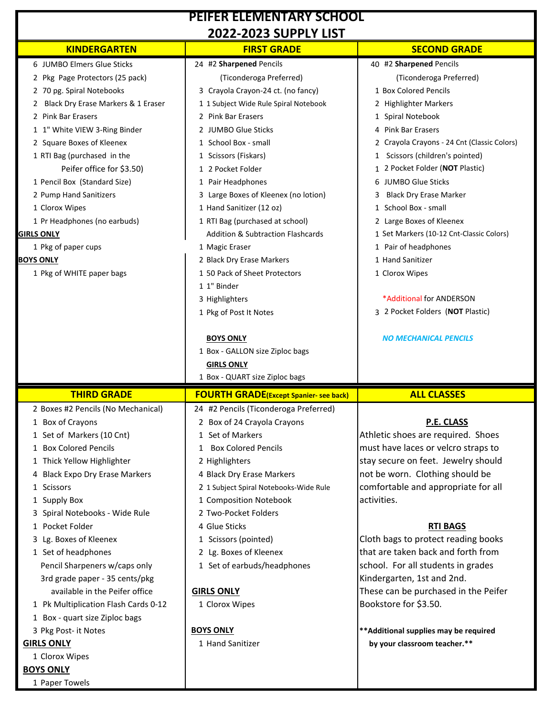| <b>PEIFER ELEMENTARY SCHOOL</b>                    |                                                            |                                                                        |
|----------------------------------------------------|------------------------------------------------------------|------------------------------------------------------------------------|
|                                                    | <b>2022-2023 SUPPLY LIST</b>                               |                                                                        |
| <b>KINDERGARTEN</b>                                | <b>FIRST GRADE</b>                                         | <b>SECOND GRADE</b>                                                    |
| 6 JUMBO Elmers Glue Sticks                         | 24 #2 Sharpened Pencils                                    | 40 #2 Sharpened Pencils                                                |
| 2 Pkg Page Protectors (25 pack)                    | (Ticonderoga Preferred)                                    | (Ticonderoga Preferred)                                                |
| 2 70 pg. Spiral Notebooks                          | 3 Crayola Crayon-24 ct. (no fancy)                         | 1 Box Colored Pencils                                                  |
| 2 Black Dry Erase Markers & 1 Eraser               | 1 1 Subject Wide Rule Spiral Notebook                      | 2 Highlighter Markers                                                  |
| 2 Pink Bar Erasers                                 | 2 Pink Bar Erasers                                         | 1 Spiral Notebook                                                      |
| 1 1" White VIEW 3-Ring Binder                      | 2 JUMBO Glue Sticks                                        | 4 Pink Bar Erasers                                                     |
| 2 Square Boxes of Kleenex                          | 1 School Box - small                                       | 2 Crayola Crayons - 24 Cnt (Classic Colors)                            |
| 1 RTI Bag (purchased in the                        | 1 Scissors (Fiskars)                                       | 1 Scissors (children's pointed)                                        |
| Peifer office for \$3.50)                          | 1 2 Pocket Folder                                          | 1 2 Pocket Folder (NOT Plastic)                                        |
| 1 Pencil Box (Standard Size)                       | 1 Pair Headphones                                          | 6 JUMBO Glue Sticks                                                    |
| 2 Pump Hand Sanitizers                             | 3 Large Boxes of Kleenex (no lotion)                       | <b>Black Dry Erase Marker</b><br>3                                     |
| 1 Clorox Wipes                                     | 1 Hand Sanitizer (12 oz)                                   | 1 School Box - small                                                   |
| 1 Pr Headphones (no earbuds)                       | 1 RTI Bag (purchased at school)                            | 2 Large Boxes of Kleenex                                               |
| <b>GIRLS ONLY</b>                                  | <b>Addition &amp; Subtraction Flashcards</b>               | 1 Set Markers (10-12 Cnt-Classic Colors)                               |
| 1 Pkg of paper cups                                | 1 Magic Eraser                                             | 1 Pair of headphones<br>1 Hand Sanitizer                               |
| <b>BOYS ONLY</b>                                   | 2 Black Dry Erase Markers<br>1 50 Pack of Sheet Protectors |                                                                        |
| 1 Pkg of WHITE paper bags                          | 1 1" Binder                                                | 1 Clorox Wipes                                                         |
|                                                    | 3 Highlighters                                             | *Additional for ANDERSON                                               |
|                                                    | 1 Pkg of Post It Notes                                     | 3 2 Pocket Folders (NOT Plastic)                                       |
|                                                    |                                                            |                                                                        |
|                                                    | <b>BOYS ONLY</b>                                           | <b>NO MECHANICAL PENCILS</b>                                           |
|                                                    | 1 Box - GALLON size Ziploc bags                            |                                                                        |
|                                                    | <b>GIRLS ONLY</b>                                          |                                                                        |
|                                                    |                                                            |                                                                        |
|                                                    |                                                            |                                                                        |
|                                                    | 1 Box - QUART size Ziploc bags                             |                                                                        |
| <b>THIRD GRADE</b>                                 | <b>FOURTH GRADE(Except Spanier- see back)</b>              | <b>ALL CLASSES</b>                                                     |
| 2 Boxes #2 Pencils (No Mechanical)                 | 24 #2 Pencils (Ticonderoga Preferred)                      |                                                                        |
| 1 Box of Crayons                                   | 2 Box of 24 Crayola Crayons                                | P.E. CLASS                                                             |
| 1 Set of Markers (10 Cnt)<br>1 Box Colored Pencils | 1 Set of Markers<br>1 Box Colored Pencils                  | Athletic shoes are required. Shoes                                     |
|                                                    |                                                            | must have laces or velcro straps to                                    |
| 1 Thick Yellow Highlighter                         | 2 Highlighters<br>4 Black Dry Erase Markers                | stay secure on feet. Jewelry should<br>not be worn. Clothing should be |
| 4 Black Expo Dry Erase Markers<br>1 Scissors       | 2 1 Subject Spiral Notebooks-Wide Rule                     | comfortable and appropriate for all                                    |
| 1 Supply Box                                       | 1 Composition Notebook                                     | activities.                                                            |
| 3 Spiral Notebooks - Wide Rule                     | 2 Two-Pocket Folders                                       |                                                                        |
| 1 Pocket Folder                                    | 4 Glue Sticks                                              | <b>RTI BAGS</b>                                                        |
| 3 Lg. Boxes of Kleenex                             | 1 Scissors (pointed)                                       | Cloth bags to protect reading books                                    |
| 1 Set of headphones                                | 2 Lg. Boxes of Kleenex                                     | that are taken back and forth from                                     |
| Pencil Sharpeners w/caps only                      | 1 Set of earbuds/headphones                                | school. For all students in grades                                     |
| 3rd grade paper - 35 cents/pkg                     |                                                            | Kindergarten, 1st and 2nd.                                             |
| available in the Peifer office                     | <b>GIRLS ONLY</b>                                          | These can be purchased in the Peifer                                   |
| 1 Pk Multiplication Flash Cards 0-12               | 1 Clorox Wipes                                             | Bookstore for \$3.50.                                                  |
| 1 Box - quart size Ziploc bags                     |                                                            |                                                                        |
| 3 Pkg Post- it Notes                               | <b>BOYS ONLY</b>                                           | ** Additional supplies may be required                                 |
| <b>GIRLS ONLY</b>                                  | 1 Hand Sanitizer                                           | by your classroom teacher.**                                           |
| 1 Clorox Wipes                                     |                                                            |                                                                        |
| <b>BOYS ONLY</b><br>1 Paper Towels                 |                                                            |                                                                        |